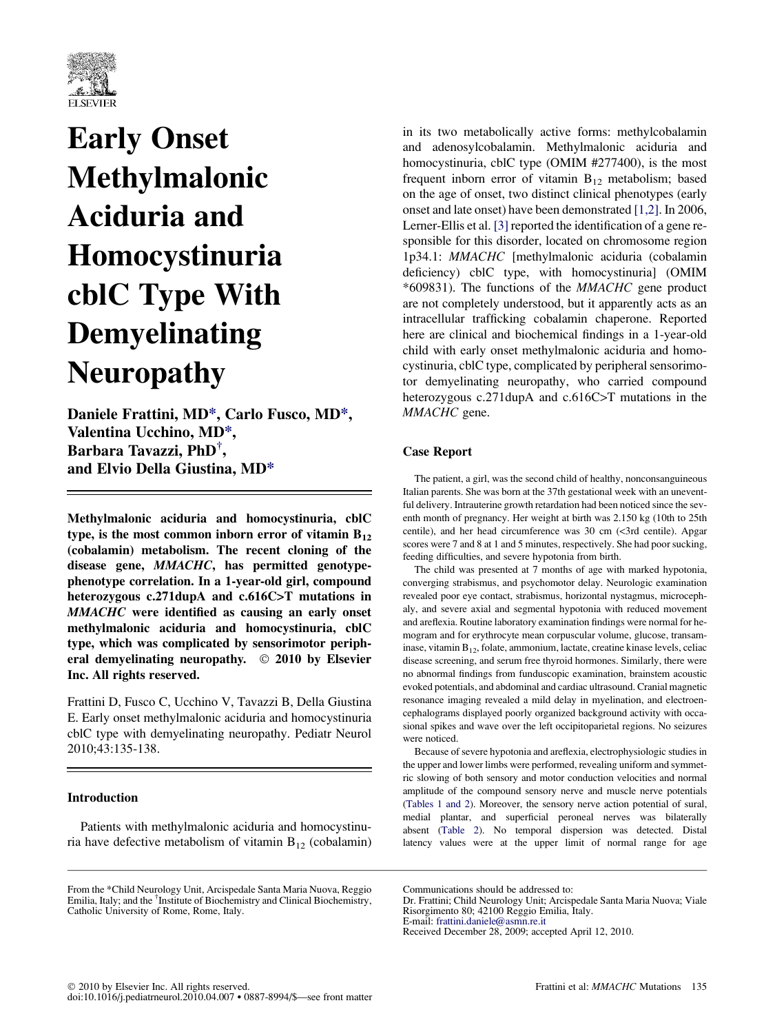

# Early Onset Methylmalonic Aciduria and Homocystinuria cblC Type With Demyelinating Neuropathy

Daniele Frattini, MD\*, Carlo Fusco, MD\*, Valentina Ucchino, MD\*, Barbara Tavazzi, PhD† , and Elvio Della Giustina, MD\*

Methylmalonic aciduria and homocystinuria, cblC type, is the most common inborn error of vitamin  $B_{12}$ (cobalamin) metabolism. The recent cloning of the disease gene, MMACHC, has permitted genotypephenotype correlation. In a 1-year-old girl, compound heterozygous c.271dupA and c.616C>T mutations in MMACHC were identified as causing an early onset methylmalonic aciduria and homocystinuria, cblC type, which was complicated by sensorimotor peripheral demyelinating neuropathy. © 2010 by Elsevier Inc. All rights reserved.

Frattini D, Fusco C, Ucchino V, Tavazzi B, Della Giustina E. Early onset methylmalonic aciduria and homocystinuria cblC type with demyelinating neuropathy. Pediatr Neurol 2010;43:135-138.

## Introduction

Patients with methylmalonic aciduria and homocystinuria have defective metabolism of vitamin  $B_{12}$  (cobalamin)

From the \*Child Neurology Unit, Arcispedale Santa Maria Nuova, Reggio Emilia, Italy; and the † Institute of Biochemistry and Clinical Biochemistry, Catholic University of Rome, Rome, Italy.

in its two metabolically active forms: methylcobalamin and adenosylcobalamin. Methylmalonic aciduria and homocystinuria, cblC type (OMIM #277400), is the most frequent inborn error of vitamin  $B_{12}$  metabolism; based on the age of onset, two distinct clinical phenotypes (early onset and late onset) have been demonstrated [\[1,2\].](#page-2-0) In 2006, Lerner-Ellis et al. [\[3\]](#page-2-0) reported the identification of a gene responsible for this disorder, located on chromosome region 1p34.1: MMACHC [methylmalonic aciduria (cobalamin deficiency) cblC type, with homocystinuria] (OMIM \*609831). The functions of the MMACHC gene product are not completely understood, but it apparently acts as an intracellular trafficking cobalamin chaperone. Reported here are clinical and biochemical findings in a 1-year-old child with early onset methylmalonic aciduria and homocystinuria, cblC type, complicated by peripheral sensorimotor demyelinating neuropathy, who carried compound heterozygous c.271dupA and c.616C>T mutations in the MMACHC gene.

### Case Report

The patient, a girl, was the second child of healthy, nonconsanguineous Italian parents. She was born at the 37th gestational week with an uneventful delivery. Intrauterine growth retardation had been noticed since the seventh month of pregnancy. Her weight at birth was 2.150 kg (10th to 25th centile), and her head circumference was 30 cm (<3rd centile). Apgar scores were 7 and 8 at 1 and 5 minutes, respectively. She had poor sucking, feeding difficulties, and severe hypotonia from birth.

The child was presented at 7 months of age with marked hypotonia, converging strabismus, and psychomotor delay. Neurologic examination revealed poor eye contact, strabismus, horizontal nystagmus, microcephaly, and severe axial and segmental hypotonia with reduced movement and areflexia. Routine laboratory examination findings were normal for hemogram and for erythrocyte mean corpuscular volume, glucose, transaminase, vitamin  $B_{12}$ , folate, ammonium, lactate, creatine kinase levels, celiac disease screening, and serum free thyroid hormones. Similarly, there were no abnormal findings from funduscopic examination, brainstem acoustic evoked potentials, and abdominal and cardiac ultrasound. Cranial magnetic resonance imaging revealed a mild delay in myelination, and electroencephalograms displayed poorly organized background activity with occasional spikes and wave over the left occipitoparietal regions. No seizures were noticed.

Because of severe hypotonia and areflexia, electrophysiologic studies in the upper and lower limbs were performed, revealing uniform and symmetric slowing of both sensory and motor conduction velocities and normal amplitude of the compound sensory nerve and muscle nerve potentials [\(Tables 1 and 2](#page-1-0)). Moreover, the sensory nerve action potential of sural, medial plantar, and superficial peroneal nerves was bilaterally absent [\(Table 2](#page-1-0)). No temporal dispersion was detected. Distal latency values were at the upper limit of normal range for age

Communications should be addressed to:

Dr. Frattini; Child Neurology Unit; Arcispedale Santa Maria Nuova; Viale Risorgimento 80; 42100 Reggio Emilia, Italy. E-mail: [frattini.daniele@asmn.re.it](mailto:frattini.daniele@asmn.re.it)

Received December 28, 2009; accepted April 12, 2010.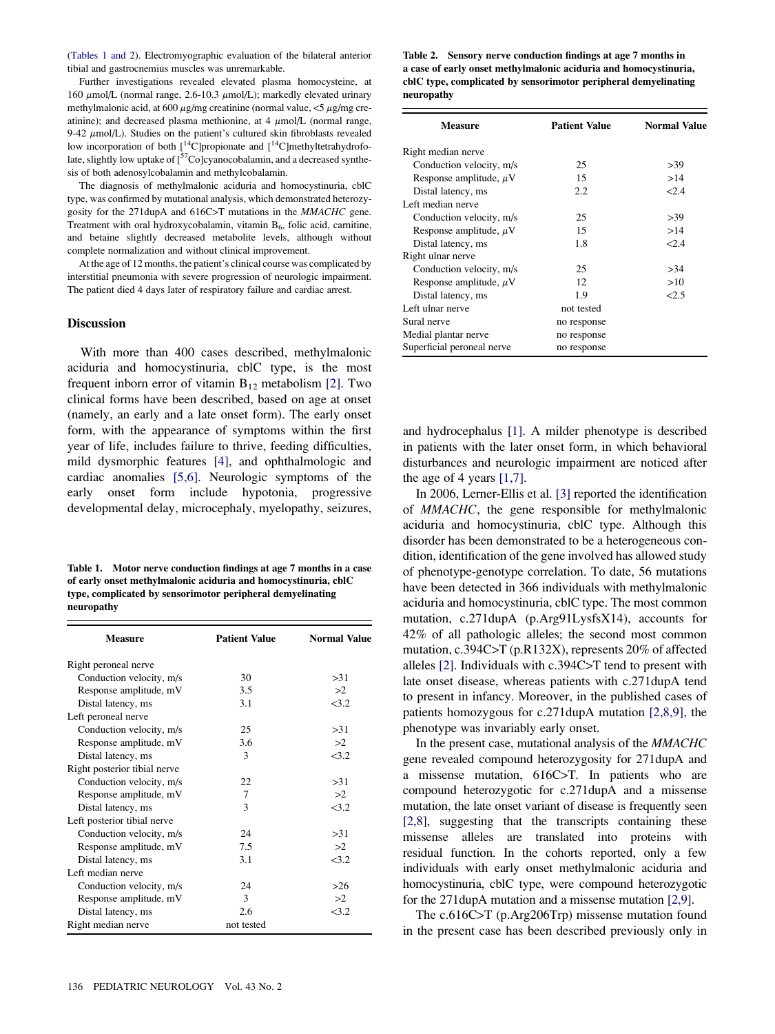<span id="page-1-0"></span>(Tables 1 and 2). Electromyographic evaluation of the bilateral anterior tibial and gastrocnemius muscles was unremarkable.

Further investigations revealed elevated plasma homocysteine, at 160  $\mu$ mol/L (normal range, 2.6-10.3  $\mu$ mol/L); markedly elevated urinary methylmalonic acid, at  $600 \mu$ g/mg creatinine (normal value,  $\lt 5 \mu$ g/mg creatinine); and decreased plasma methionine, at  $4 \mu$ mol/L (normal range, 9-42  $\mu$ mol/L). Studies on the patient's cultured skin fibroblasts revealed low incorporation of both  $\left[ {}^{14}C \right]$ propionate and  $\left[ {}^{14}C \right]$ methyltetrahydrofolate, slightly low uptake of [<sup>57</sup>Co]cyanocobalamin, and a decreased synthesis of both adenosylcobalamin and methylcobalamin.

The diagnosis of methylmalonic aciduria and homocystinuria, cblC type, was confirmed by mutational analysis, which demonstrated heterozygosity for the 271dupA and 616C>T mutations in the MMACHC gene. Treatment with oral hydroxycobalamin, vitamin  $B<sub>6</sub>$ , folic acid, carnitine, and betaine slightly decreased metabolite levels, although without complete normalization and without clinical improvement.

At the age of 12 months, the patient's clinical course was complicated by interstitial pneumonia with severe progression of neurologic impairment. The patient died 4 days later of respiratory failure and cardiac arrest.

#### **Discussion**

With more than 400 cases described, methylmalonic aciduria and homocystinuria, cblC type, is the most frequent inborn error of vitamin  $B_{12}$  metabolism [\[2\]](#page-2-0). Two clinical forms have been described, based on age at onset (namely, an early and a late onset form). The early onset form, with the appearance of symptoms within the first year of life, includes failure to thrive, feeding difficulties, mild dysmorphic features [\[4\]](#page-2-0), and ophthalmologic and cardiac anomalies [\[5,6\].](#page-2-0) Neurologic symptoms of the early onset form include hypotonia, progressive developmental delay, microcephaly, myelopathy, seizures,

Table 1. Motor nerve conduction findings at age 7 months in a case of early onset methylmalonic aciduria and homocystinuria, cblC type, complicated by sensorimotor peripheral demyelinating neuropathy

| <b>Measure</b>               | <b>Patient Value</b> | <b>Normal Value</b> |
|------------------------------|----------------------|---------------------|
| Right peroneal nerve         |                      |                     |
| Conduction velocity, m/s     | 30                   | >31                 |
| Response amplitude, mV       | 3.5                  | >2                  |
| Distal latency, ms           | 3.1                  | 3.2                 |
| Left peroneal nerve          |                      |                     |
| Conduction velocity, m/s     | 25                   | >31                 |
| Response amplitude, mV       | 3.6                  | >2                  |
| Distal latency, ms           | 3                    | <3.2                |
| Right posterior tibial nerve |                      |                     |
| Conduction velocity, m/s     | 22                   | >31                 |
| Response amplitude, mV       | 7                    | >2                  |
| Distal latency, ms           | 3                    | 3.2                 |
| Left posterior tibial nerve  |                      |                     |
| Conduction velocity, m/s     | 24                   | >31                 |
| Response amplitude, mV       | 7.5                  | >2                  |
| Distal latency, ms           | 3.1                  | 3.2                 |
| Left median nerve            |                      |                     |
| Conduction velocity, m/s     | 24                   | >26                 |
| Response amplitude, mV       | 3                    | >2                  |
| Distal latency, ms           | 2.6                  | 23.2                |
| Right median nerve           | not tested           |                     |

Table 2. Sensory nerve conduction findings at age 7 months in a case of early onset methylmalonic aciduria and homocystinuria, cblC type, complicated by sensorimotor peripheral demyelinating neuropathy

| <b>Measure</b>              | <b>Patient Value</b> | <b>Normal Value</b> |
|-----------------------------|----------------------|---------------------|
| Right median nerve          |                      |                     |
| Conduction velocity, m/s    | 25                   | >39                 |
| Response amplitude, $\mu$ V | 15                   | >14                 |
| Distal latency, ms          | 2.2                  | 2.4                 |
| Left median nerve           |                      |                     |
| Conduction velocity, m/s    | 25                   | >39                 |
| Response amplitude, $\mu$ V | 15                   | >14                 |
| Distal latency, ms          | 1.8                  | 2.4                 |
| Right ulnar nerve           |                      |                     |
| Conduction velocity, m/s    | 25                   | >34                 |
| Response amplitude, $\mu$ V | 12                   | >10                 |
| Distal latency, ms          | 1.9                  | 2.5                 |
| Left ulnar nerve            | not tested           |                     |
| Sural nerve                 | no response          |                     |
| Medial plantar nerve        | no response          |                     |
| Superficial peroneal nerve  | no response          |                     |

and hydrocephalus [\[1\]](#page-2-0). A milder phenotype is described in patients with the later onset form, in which behavioral disturbances and neurologic impairment are noticed after the age of 4 years  $[1,7]$ .

In 2006, Lerner-Ellis et al. [\[3\]](#page-2-0) reported the identification of MMACHC, the gene responsible for methylmalonic aciduria and homocystinuria, cblC type. Although this disorder has been demonstrated to be a heterogeneous condition, identification of the gene involved has allowed study of phenotype-genotype correlation. To date, 56 mutations have been detected in 366 individuals with methylmalonic aciduria and homocystinuria, cblC type. The most common mutation, c.271dupA (p.Arg91LysfsX14), accounts for 42% of all pathologic alleles; the second most common mutation, c.394C>T (p.R132X), represents 20% of affected alleles [\[2\].](#page-2-0) Individuals with c.394C>T tend to present with late onset disease, whereas patients with c.271dupA tend to present in infancy. Moreover, in the published cases of patients homozygous for c.271dupA mutation [\[2,8,9\],](#page-2-0) the phenotype was invariably early onset.

In the present case, mutational analysis of the MMACHC gene revealed compound heterozygosity for 271dupA and a missense mutation, 616C>T. In patients who are compound heterozygotic for c.271dupA and a missense mutation, the late onset variant of disease is frequently seen [\[2,8\]](#page-2-0), suggesting that the transcripts containing these missense alleles are translated into proteins with residual function. In the cohorts reported, only a few individuals with early onset methylmalonic aciduria and homocystinuria, cblC type, were compound heterozygotic for the 271dupA mutation and a missense mutation [\[2,9\].](#page-2-0)

The c.616C>T (p.Arg206Trp) missense mutation found in the present case has been described previously only in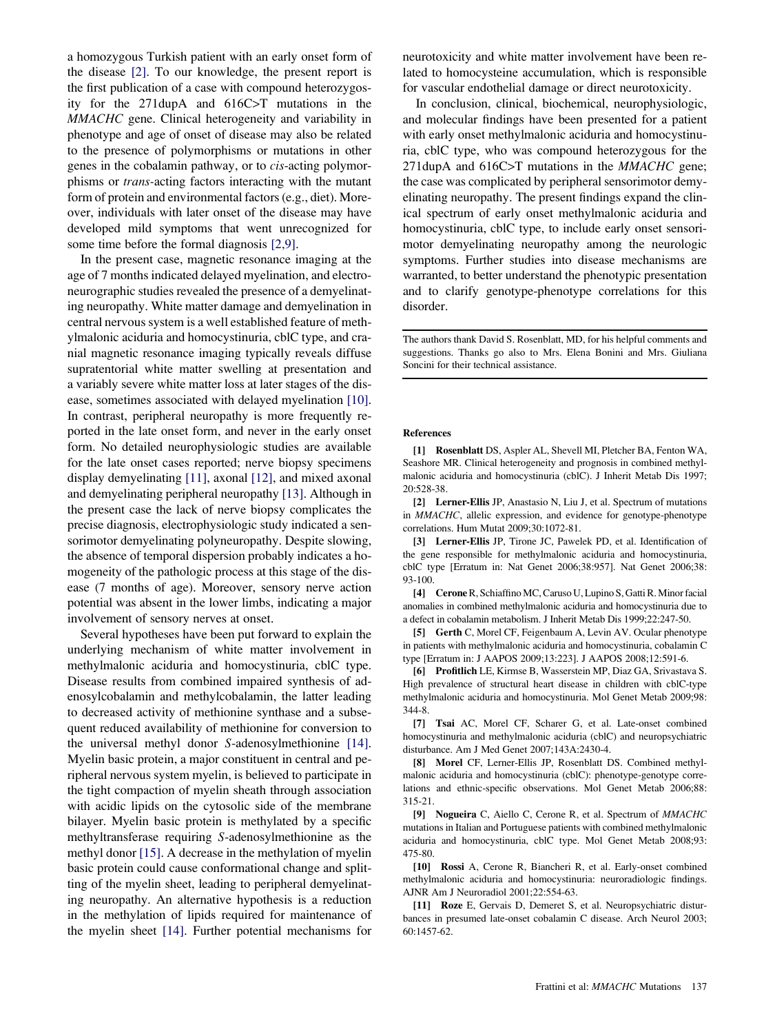<span id="page-2-0"></span>a homozygous Turkish patient with an early onset form of the disease [2]. To our knowledge, the present report is the first publication of a case with compound heterozygosity for the 271dupA and 616C>T mutations in the MMACHC gene. Clinical heterogeneity and variability in phenotype and age of onset of disease may also be related to the presence of polymorphisms or mutations in other genes in the cobalamin pathway, or to cis-acting polymorphisms or trans-acting factors interacting with the mutant form of protein and environmental factors (e.g., diet). Moreover, individuals with later onset of the disease may have developed mild symptoms that went unrecognized for some time before the formal diagnosis [2,9].

In the present case, magnetic resonance imaging at the age of 7 months indicated delayed myelination, and electroneurographic studies revealed the presence of a demyelinating neuropathy. White matter damage and demyelination in central nervous system is a well established feature of methylmalonic aciduria and homocystinuria, cblC type, and cranial magnetic resonance imaging typically reveals diffuse supratentorial white matter swelling at presentation and a variably severe white matter loss at later stages of the disease, sometimes associated with delayed myelination [10]. In contrast, peripheral neuropathy is more frequently reported in the late onset form, and never in the early onset form. No detailed neurophysiologic studies are available for the late onset cases reported; nerve biopsy specimens display demyelinating [11], axonal [\[12\]](#page-3-0), and mixed axonal and demyelinating peripheral neuropathy [\[13\].](#page-3-0) Although in the present case the lack of nerve biopsy complicates the precise diagnosis, electrophysiologic study indicated a sensorimotor demyelinating polyneuropathy. Despite slowing, the absence of temporal dispersion probably indicates a homogeneity of the pathologic process at this stage of the disease (7 months of age). Moreover, sensory nerve action potential was absent in the lower limbs, indicating a major involvement of sensory nerves at onset.

Several hypotheses have been put forward to explain the underlying mechanism of white matter involvement in methylmalonic aciduria and homocystinuria, cblC type. Disease results from combined impaired synthesis of adenosylcobalamin and methylcobalamin, the latter leading to decreased activity of methionine synthase and a subsequent reduced availability of methionine for conversion to the universal methyl donor S-adenosylmethionine [\[14\]](#page-3-0). Myelin basic protein, a major constituent in central and peripheral nervous system myelin, is believed to participate in the tight compaction of myelin sheath through association with acidic lipids on the cytosolic side of the membrane bilayer. Myelin basic protein is methylated by a specific methyltransferase requiring S-adenosylmethionine as the methyl donor [\[15\]](#page-3-0). A decrease in the methylation of myelin basic protein could cause conformational change and splitting of the myelin sheet, leading to peripheral demyelinating neuropathy. An alternative hypothesis is a reduction in the methylation of lipids required for maintenance of the myelin sheet [\[14\]](#page-3-0). Further potential mechanisms for

neurotoxicity and white matter involvement have been related to homocysteine accumulation, which is responsible for vascular endothelial damage or direct neurotoxicity.

In conclusion, clinical, biochemical, neurophysiologic, and molecular findings have been presented for a patient with early onset methylmalonic aciduria and homocystinuria, cblC type, who was compound heterozygous for the 271dupA and 616C>T mutations in the MMACHC gene; the case was complicated by peripheral sensorimotor demyelinating neuropathy. The present findings expand the clinical spectrum of early onset methylmalonic aciduria and homocystinuria, cblC type, to include early onset sensorimotor demyelinating neuropathy among the neurologic symptoms. Further studies into disease mechanisms are warranted, to better understand the phenotypic presentation and to clarify genotype-phenotype correlations for this disorder.

The authors thank David S. Rosenblatt, MD, for his helpful comments and suggestions. Thanks go also to Mrs. Elena Bonini and Mrs. Giuliana Soncini for their technical assistance.

#### References

[1] Rosenblatt DS, Aspler AL, Shevell MI, Pletcher BA, Fenton WA, Seashore MR. Clinical heterogeneity and prognosis in combined methylmalonic aciduria and homocystinuria (cblC). J Inherit Metab Dis 1997; 20:528-38.

[2] Lerner-Ellis JP, Anastasio N, Liu J, et al. Spectrum of mutations in MMACHC, allelic expression, and evidence for genotype-phenotype correlations. Hum Mutat 2009;30:1072-81.

[3] Lerner-Ellis JP, Tirone JC, Pawelek PD, et al. Identification of the gene responsible for methylmalonic aciduria and homocystinuria, cblC type [Erratum in: Nat Genet 2006;38:957]. Nat Genet 2006;38: 93-100.

[4] CeroneR, SchiaffinoMC, Caruso U, Lupino S, Gatti R.Minor facial anomalies in combined methylmalonic aciduria and homocystinuria due to a defect in cobalamin metabolism. J Inherit Metab Dis 1999;22:247-50.

[5] Gerth C, Morel CF, Feigenbaum A, Levin AV. Ocular phenotype in patients with methylmalonic aciduria and homocystinuria, cobalamin C type [Erratum in: J AAPOS 2009;13:223]. J AAPOS 2008;12:591-6.

[6] Profitlich LE, Kirmse B, Wasserstein MP, Diaz GA, Srivastava S. High prevalence of structural heart disease in children with cblC-type methylmalonic aciduria and homocystinuria. Mol Genet Metab 2009;98: 344-8.

[7] Tsai AC, Morel CF, Scharer G, et al. Late-onset combined homocystinuria and methylmalonic aciduria (cblC) and neuropsychiatric disturbance. Am J Med Genet 2007;143A:2430-4.

[8] Morel CF, Lerner-Ellis JP, Rosenblatt DS. Combined methylmalonic aciduria and homocystinuria (cblC): phenotype-genotype correlations and ethnic-specific observations. Mol Genet Metab 2006;88: 315-21.

[9] Nogueira C, Aiello C, Cerone R, et al. Spectrum of MMACHC mutations in Italian and Portuguese patients with combined methylmalonic aciduria and homocystinuria, cblC type. Mol Genet Metab 2008;93: 475-80.

[10] Rossi A, Cerone R, Biancheri R, et al. Early-onset combined methylmalonic aciduria and homocystinuria: neuroradiologic findings. AJNR Am J Neuroradiol 2001;22:554-63.

[11] Roze E, Gervais D, Demeret S, et al. Neuropsychiatric disturbances in presumed late-onset cobalamin C disease. Arch Neurol 2003; 60:1457-62.